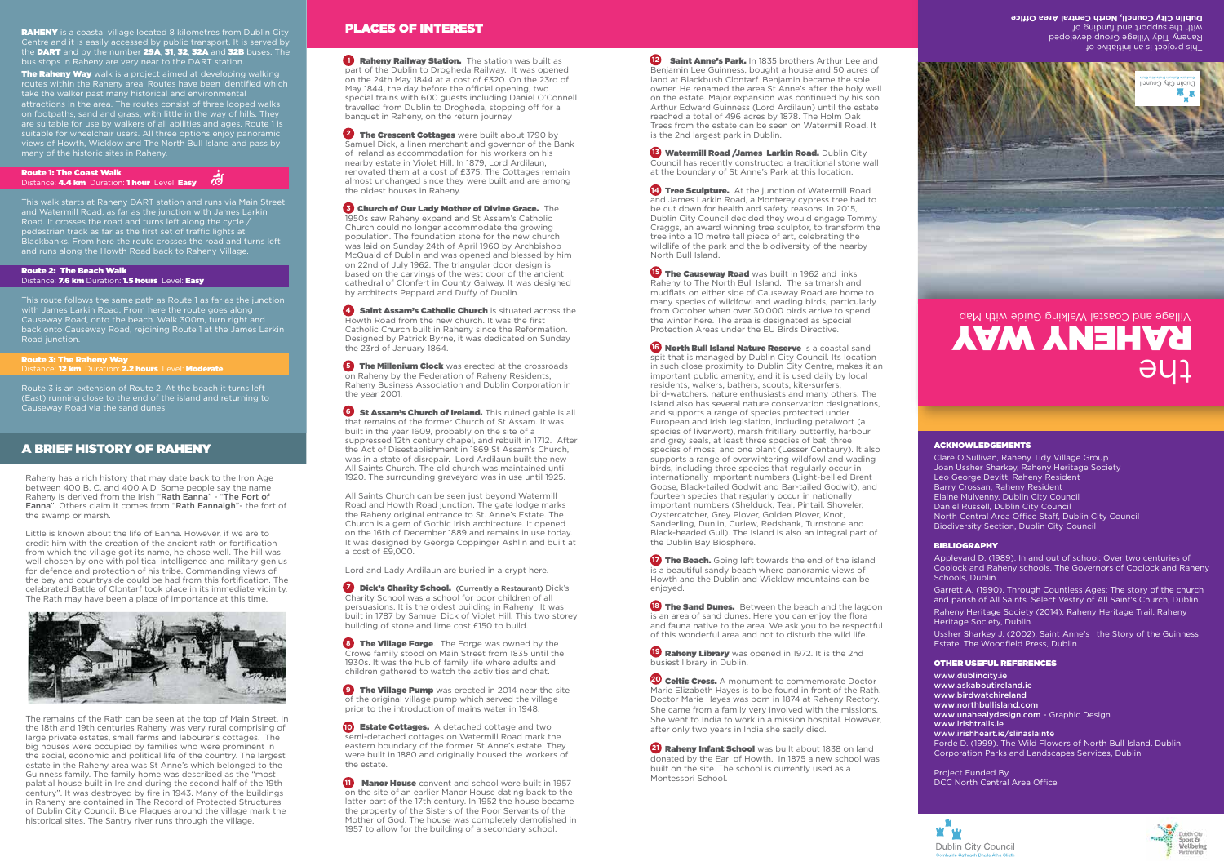# A BRIEF HISTORY OF RAHENY

Raheny has a rich history that may date back to the Iron Age between 400 B. C. and 400 A.D. Some people say the name Raheny is derived from the Irish "Rath Eanna" - "The Fort of Eanna". Others claim it comes from "Rath Eannaigh"- the fort of the swamp or marsh.

Little is known about the life of Eanna. However, if we are to credit him with the creation of the ancient rath or fortification from which the village got its name, he chose well. The hill was well chosen by one with political intelligence and military genius for defence and protection of his tribe. Commanding views of the bay and countryside could be had from this fortification. The celebrated Battle of Clontarf took place in its immediate vicinity. The Rath may have been a place of importance at this time.



The remains of the Rath can be seen at the top of Main Street. In the 18th and 19th centuries Raheny was very rural comprising of large private estates, small farms and labourer's cottages. The big houses were occupied by families who were prominent in the social, economic and political life of the country. The largest estate in the Raheny area was St Anne's which belonged to the Guinness family. The family home was described as the "most palatial house built in Ireland during the second half of the 19th century". It was destroyed by fire in 1943. Many of the buildings in Raheny are contained in The Record of Protected Structures of Dublin City Council. Blue Plaques around the village mark the historical sites. The Santry river runs through the village.

The Raheny Way walk is a project aimed at developing walking routes within the Raheny area. Routes have been identified which take the walker past many historical and environmental attractions in the area. The routes consist of three looped walks on footpaths, sand and grass, with little in the way of hills. They are suitable for use by walkers of all abilities and ages. Route 1 is suitable for wheelchair users. All three options enjoy panoramic views of Howth, Wicklow and The North Bull Island and pass by many of the historic sites in Raheny.

Route 1: The Coast Walk Distance: 4.4 km Duration: 1 hour Level: Easy

RAHENY is a coastal village located 8 kilometres from Dublin City Centre and it is easily accessed by public transport. It is served by the DART and by the number 29A, 31, 32, 32A and 32B buses. The bus stops in Raheny are very near to the DART station.

**Raheny Railway Station.** The station was built as part of the Dublin to Drogheda Railway. It was opened on the 24th May 1844 at a cost of £320. On the 23rd of May 1844, the day before the official opening, two special trains with 600 guests including Daniel O'Connell travelled from Dublin to Drogheda, stopping off for a banquet in Raheny, on the return journey.

J **2 The Crescent Cottages** were built about 1790 by Samuel Dick, a linen merchant and governor of the Bank of Ireland as accommodation for his workers on his nearby estate in Violet Hill. In 1879, Lord Ardilaun, renovated them at a cost of £375. The Cottages remain almost unchanged since they were built and are among the oldest houses in Raheny.

**5 Church of Our Lady Mother of Divine Grace.** The 1950s saw Raheny expand and St Assam's Catholic Church could no longer accommodate the growing population. The foundation stone for the new church was laid on Sunday 24th of April 1960 by Archbishop McQuaid of Dublin and was opened and blessed by him on 22nd of July 1962. The triangular door design is based on the carvings of the west door of the ancient cathedral of Clonfert in County Galway. It was designed by architects Peppard and Duffy of Dublin.

**4 Saint Assam's Catholic Church** is situated across the Howth Road from the new church. It was the first Catholic Church built in Raheny since the Reformation. Designed by Patrick Byrne, it was dedicated on Sunday the 23rd of January 1864.

**F** The Millenium Clock was erected at the crossroads on Raheny by the Federation of Raheny Residents, Raheny Business Association and Dublin Corporation in the year 2001.

This walk starts at Raheny DART station and runs via Main Street and Watermill Road, as far as the junction with James Larkin and Watermill Road, as far as the junction with sumested and the cycle /<br>Road. It crosses the road and turns left along the cycle / pedestrian track as far as the first set of traffic lights at Blackbanks. From here the route crosses the road and turns left and runs along the Howth Road back to Raheny Village.

> **6 St Assam's Church of Ireland.** This ruined gable is all that remains of the former Church of St Assam. It was built in the year 1609, probably on the site of a suppressed 12th century chapel, and rebuilt in 1712. After the Act of Disestablishment in 1869 St Assam's Church, was in a state of disrepair. Lord Ardilaun built the new All Saints Church. The old church was maintained until 1920. The surrounding graveyard was in use until 1925.

Route 2: The Beach Walk

Distance: 7.6 km Duration: 1.5 hours Level: Easy

This route follows the same path as Route 1 as far as the junction with James Larkin Road. From here the route goes along Causeway Road, onto the beach. Walk 300m, turn right and back onto Causeway Road, rejoining Route 1 at the James Larkin Road junction.

> **Dick's Charity School.** (Currently a Restaurant) Dick's Charity School was a school for poor children of all persuasions. It is the oldest building in Raheny. It was built in 1787 by Samuel Dick of Violet Hill. This two storey building of stone and lime cost £150 to build.

## Route 3: The Raheny Way

Distance: 12 km Duration: 2.2 hours Level: Moderate

J **8 The Village Forge**. The Forge was owned by the Crowe family stood on Main Street from 1835 until the 1930s. It was the hub of family life where adults and children gathered to watch the activities and chat.

**9 The Village Pump** was erected in 2014 near the site of the original village pump which served the village prior to the introduction of mains water in 1948.

(East) running close to the end of the island and returning to Causeway Road via the sand dunes.

> **IO Estate Cottages.** A detached cottage and two semi-detached cottages on Watermill Road mark the eastern boundary of the former St Anne's estate. They were built in 1880 and originally housed the workers of the estate.

# PLACES OF INTEREST

J **Manor House** convent and school were built in 1957 on the site of an earlier Manor House dating back to the latter part of the 17th century. In 1952 the house became the property of the Sisters of the Poor Servants of the Mother of God. The house was completely demolished in 1957 to allow for the building of a secondary school.

**12 Saint Anne's Park.** In 1835 brothers Arthur Lee and Benjamin Lee Guinness, bought a house and 50 acres of land at Blackbush Clontarf. Benjamin became the sole owner. He renamed the area St Anne's after the holy well on the estate. Major expansion was continued by his son Arthur Edward Guinness (Lord Ardilaun) until the estate reached a total of 496 acres by 1878. The Holm Oak Trees from the estate can be seen on Watermill Road. It is the 2nd largest park in Dublin.

**13 Watermill Road /James Larkin Road.** Dublin City Council has recently constructed a traditional stone wall at the boundary of St Anne's Park at this location.

**14 Tree Sculpture.** At the junction of Watermill Road and James Larkin Road, a Monterey cypress tree had to be cut down for health and safety reasons. In 2015, Dublin City Council decided they would engage Tommy Craggs, an award winning tree sculptor, to transform the tree into a 10 metre tall piece of art, celebrating the wildlife of the park and the biodiversity of the nearby North Bull Island.

**15 The Causeway Road** was built in 1962 and links Raheny to The North Bull Island. The saltmarsh and mudflats on either side of Causeway Road are home to many species of wildfowl and wading birds, particularly from October when over 30,000 birds arrive to spend the winter here. The area is designated as Special Protection Areas under the EU Birds Directive.

**16 North Bull Island Nature Reserve** is a coastal sand spit that is managed by Dublin City Council. Its location in such close proximity to Dublin City Centre, makes it an important public amenity, and it is used daily by local residents, walkers, bathers, scouts, kite-surfers, bird-watchers, nature enthusiasts and many others. The Island also has several nature conservation designations, and supports a range of species protected under European and Irish legislation, including petalwort (a species of liverwort), marsh fritillary butterfly, harbour and grey seals, at least three species of bat, three species of moss, and one plant (Lesser Centaury). It also supports a range of overwintering wildfowl and wading birds, including three species that regularly occur in internationally important numbers (Light-bellied Brent Goose, Black-tailed Godwit and Bar-tailed Godwit), and fourteen species that regularly occur in nationally important numbers (Shelduck, Teal, Pintail, Shoveler, Oystercatcher, Grey Plover, Golden Plover, Knot, Sanderling, Dunlin, Curlew, Redshank, Turnstone and Black-headed Gull). The Island is also an integral part of the Dublin Bay Biosphere.

**17he Beach.** Going left towards the end of the island is a beautiful sandy beach where panoramic views of Howth and the Dublin and Wicklow mountains can be enjoyed.

**13 The Sand Dunes.** Between the beach and the lagoon is an area of sand dunes. Here you can enjoy the flora and fauna native to the area. We ask you to be respectful of this wonderful area and not to disturb the wild life.

**P Raheny Library** was opened in 1972. It is the 2nd busiest library in Dublin.

**20 Celtic Cross.** A monument to commemorate Doctor Marie Elizabeth Hayes is to be found in front of the Rath. Doctor Marie Hayes was born in 1874 at Raheny Rectory. She came from a family very involved with the missions. She went to India to work in a mission hospital. However, after only two years in India she sadly died.

**21 Raheny Infant School** was built about 1838 on land donated by the Earl of Howth. In 1875 a new school was built on the site. The school is currently used as a Montessori School.

Raheny Tidy Village Group **Dublin City Council, North Central Area Oce** This project is an initiative of Raheny Tidy Village Group developed with the subbort and funding of



All Saints Church can be seen just beyond Watermill Road and Howth Road junction. The gate lodge marks the Raheny original entrance to St. Anne's Estate. The Church is a gem of Gothic Irish architecture. It opened on the 16th of December 1889 and remains in use today. It was designed by George Coppinger Ashlin and built at a cost of £9,000.

Appleyard D. (1989). In and out of school: Over two centuries of Coolock and Raheny schools. The Governors of Coolock and Raheny Schools, Dublin.

Lord and Lady Ardilaun are buried in a crypt here.

www.dublincity.ie www.askaboutireland.ie www.birdwatchireland www.northbullisland.com www.unahealydesign.com - Graphic Design www.irishtrails.ie www.irishheart.je/slinaslainte Forde D. (1999). The Wild Flowers of North Bull Island. Dublin Corporation Parks and Landscapes Services, Dublin

Project Funded By DCC North Central Area Office





# the RAHENY WAY Village and Coastal Walking Guide with Map

### ACKNOWLEDGEMENTS

Clare O'Sullivan, Raheny Tidy Village Group Joan Ussher Sharkey, Raheny Heritage Society Leo George Devitt, Raheny Resident Barry Crossan, Raheny Resident Elaine Mulvenny, Dublin City Council Daniel Russell, Dublin City Council North Central Area Office Staff, Dublin City Council Biodiversity Section, Dublin City Council

### BIBLIOGRAPHY

Garrett A. (1990). Through Countless Ages: The story of the church and parish of All Saints. Select Vestry of All Saint's Church, Dublin. Raheny Heritage Society (2014). Raheny Heritage Trail. Raheny Heritage Society, Dublin.

Ussher Sharkey J. (2002). Saint Anne's : the Story of the Guinness Estate. The Woodfield Press, Dublin.

### OTHER USEFUL REFERENCES